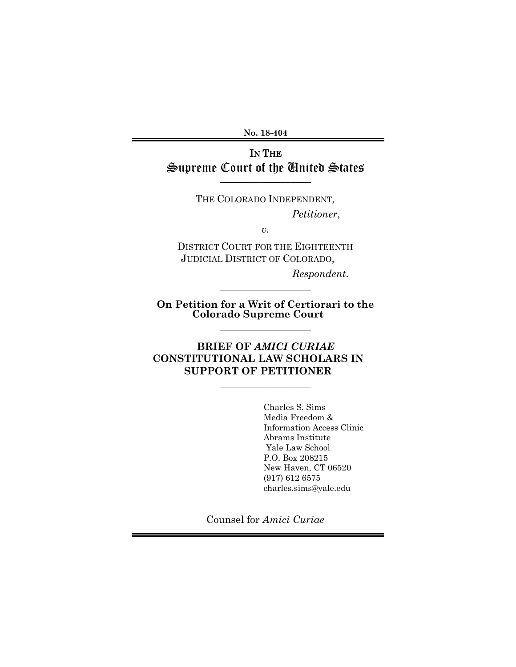**No. 18-404**

## IN THE Supreme Court of the United States

—————————

THE COLORADO INDEPENDENT*, Petitioner*,

DISTRICT COURT FOR THE EIGHTEENTH JUDICIAL DISTRICT OF COLORADO,

*v.*

*Respondent*.

**On Petition for a Writ of Certiorari to the Colorado Supreme Court**

—————————

—————————

—————————

## **BRIEF OF** *AMICI CURIAE* **CONSTITUTIONAL LAW SCHOLARS IN SUPPORT OF PETITIONER**

Charles S. Sims Media Freedom & Information Access Clinic Abrams Institute Yale Law School P.O. Box 208215 New Haven, CT 06520 (917) 612 6575 charles.sims@yale.edu

Counsel for *Amici Curiae*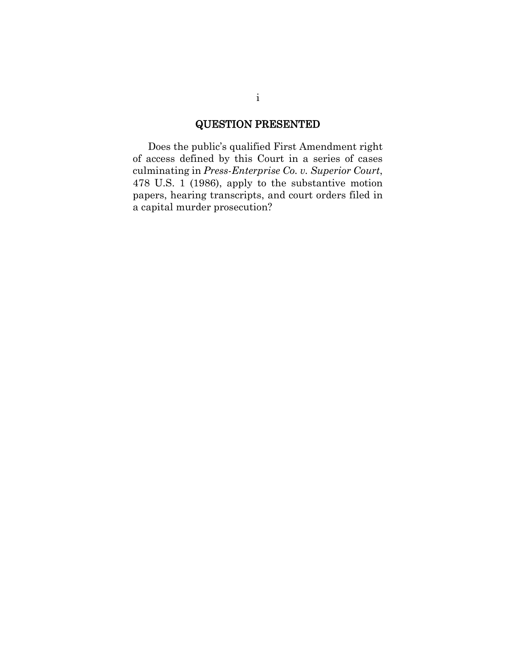### QUESTION PRESENTED

<span id="page-1-0"></span>Does the public's qualified First Amendment right of access defined by this Court in a series of cases culminating in *Press-Enterprise Co. v. Superior Court*, 478 U.S. 1 (1986), apply to the substantive motion papers, hearing transcripts, and court orders filed in a capital murder prosecution?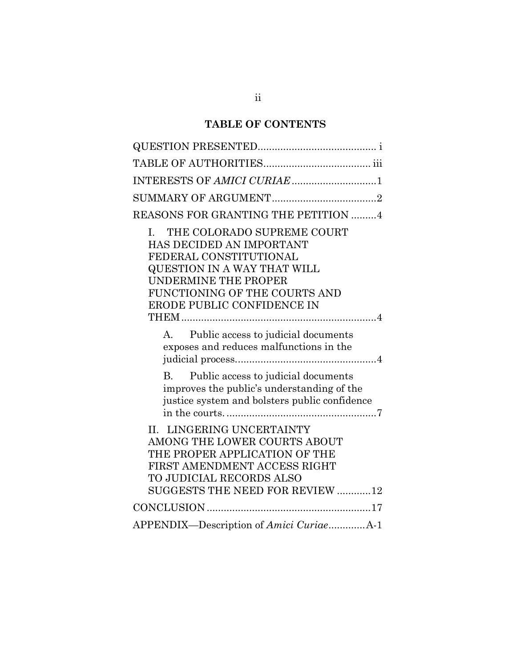# **TABLE OF CONTENTS**

| INTERESTS OF AMICI CURIAE 1                                                                                                                                                                                                          |
|--------------------------------------------------------------------------------------------------------------------------------------------------------------------------------------------------------------------------------------|
|                                                                                                                                                                                                                                      |
| REASONS FOR GRANTING THE PETITION 4                                                                                                                                                                                                  |
| THE COLORADO SUPREME COURT<br>$\mathbf{L}$<br>HAS DECIDED AN IMPORTANT<br>FEDERAL CONSTITUTIONAL<br><b>QUESTION IN A WAY THAT WILL</b><br><b>UNDERMINE THE PROPER</b><br>FUNCTIONING OF THE COURTS AND<br>ERODE PUBLIC CONFIDENCE IN |
| Public access to judicial documents<br>$A_{\cdot}$<br>exposes and reduces malfunctions in the                                                                                                                                        |
| Public access to judicial documents<br>$\mathbf{B}$<br>improves the public's understanding of the<br>justice system and bolsters public confidence                                                                                   |
| II. LINGERING UNCERTAINTY<br>AMONG THE LOWER COURTS ABOUT<br>THE PROPER APPLICATION OF THE<br>FIRST AMENDMENT ACCESS RIGHT<br>TO JUDICIAL RECORDS ALSO<br>SUGGESTS THE NEED FOR REVIEW 12                                            |
|                                                                                                                                                                                                                                      |
| APPENDIX-Description of Amici CuriaeA-1                                                                                                                                                                                              |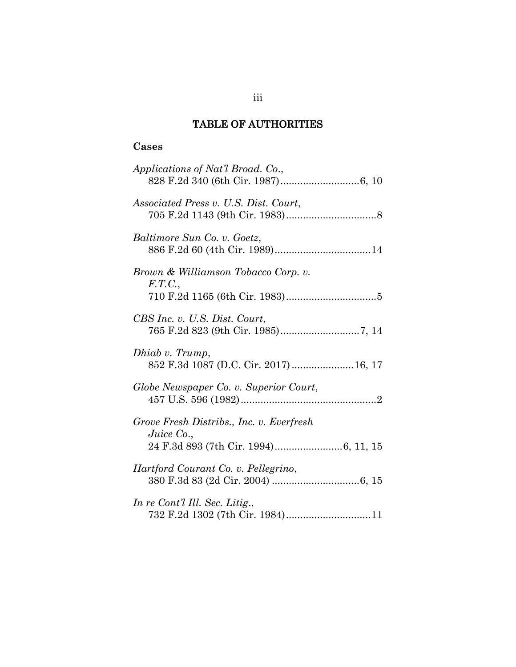## TABLE OF AUTHORITIES

## <span id="page-3-0"></span>**Cases**

| Applications of Nat'l Broad. Co.,                         |
|-----------------------------------------------------------|
| Associated Press v. U.S. Dist. Court,                     |
| Baltimore Sun Co. v. Goetz,                               |
| Brown & Williamson Tobacco Corp. v.<br>F.T.C.,            |
| CBS Inc. v. U.S. Dist. Court,                             |
| Dhiab v. Trump,<br>852 F.3d 1087 (D.C. Cir. 2017)  16, 17 |
| Globe Newspaper Co. v. Superior Court,                    |
| Grove Fresh Distribs., Inc. v. Everfresh<br>Juice Co.,    |
| Hartford Courant Co. v. Pellegrino,                       |
| In re Cont'l Ill. Sec. Litig.,                            |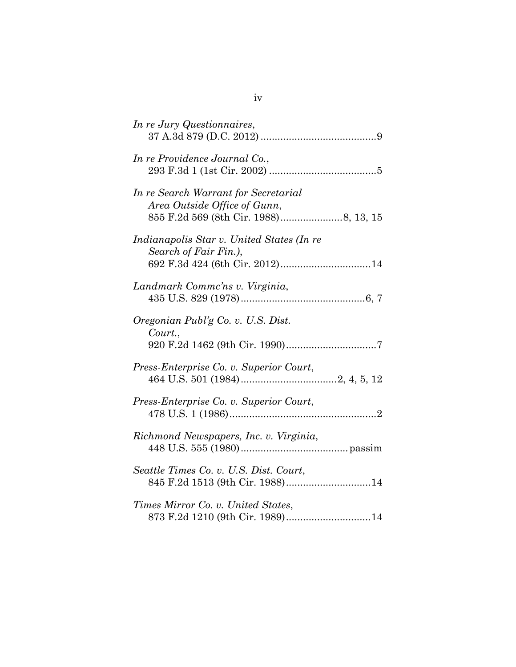| In re Jury Questionnaires,                                                                           |
|------------------------------------------------------------------------------------------------------|
| In re Providence Journal Co.,                                                                        |
| In re Search Warrant for Secretarial<br>Area Outside Office of Gunn,                                 |
| Indianapolis Star v. United States (In re<br>Search of Fair Fin.),<br>692 F.3d 424 (6th Cir. 2012)14 |
| Landmark Comme'ns v. Virginia,                                                                       |
| Oregonian Publ'g Co. v. U.S. Dist.<br>Court.,                                                        |
| Press-Enterprise Co. v. Superior Court,                                                              |
| Press-Enterprise Co. v. Superior Court,                                                              |
| Richmond Newspapers, Inc. v. Virginia,                                                               |
| Seattle Times Co. v. U.S. Dist. Court,<br>845 F.2d 1513 (9th Cir. 1988)14                            |
| Times Mirror Co. v. United States,<br>873 F.2d 1210 (9th Cir. 1989)14                                |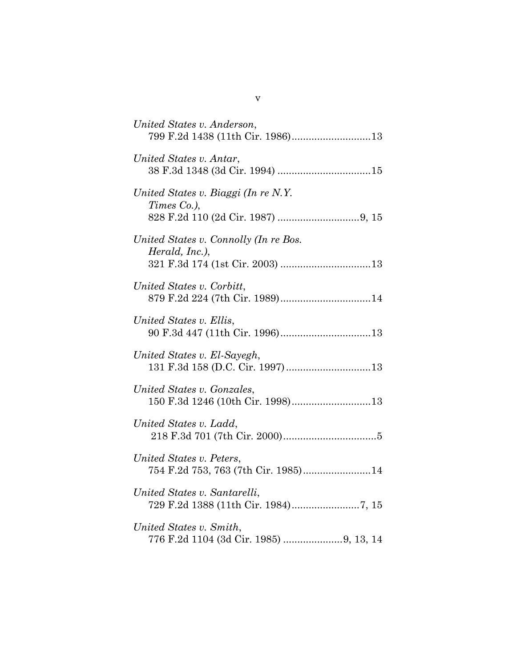| United States v. Anderson,                                        |
|-------------------------------------------------------------------|
| United States v. Antar,                                           |
| United States v. Biaggi (In re N.Y.<br>Times Co.),                |
| United States v. Connolly (In re Bos.<br>Herald, Inc.),           |
| United States v. Corbitt,                                         |
| United States v. Ellis,                                           |
| United States v. El-Sayegh,                                       |
| United States v. Gonzales,<br>150 F.3d 1246 (10th Cir. 1998)13    |
| United States v. Ladd,                                            |
| United States v. Peters,<br>754 F.2d 753, 763 (7th Cir. 1985)14   |
| United States v. Santarelli,                                      |
| United States v. Smith,<br>776 F.2d 1104 (3d Cir. 1985) 9, 13, 14 |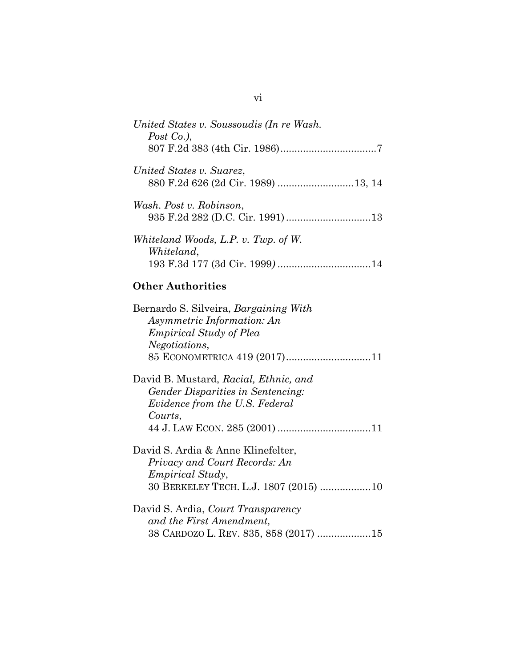| United States v. Soussoudis (In re Wash.<br>Post Co.), |
|--------------------------------------------------------|
|                                                        |
| United States v. Suarez,                               |
| Wash. Post v. Robinson,                                |
| Whiteland Woods, L.P. v. Twp. of W.<br>Whiteland,      |
|                                                        |

## **Other Authorities**

| Bernardo S. Silveira, Bargaining With<br>Asymmetric Information: An |
|---------------------------------------------------------------------|
| <i>Empirical Study of Plea</i>                                      |
| Negotiations,                                                       |
|                                                                     |
| David B. Mustard, Racial, Ethnic, and                               |
| <i>Gender Disparities in Sentencing:</i>                            |
| Evidence from the U.S. Federal                                      |
| Courts,                                                             |
|                                                                     |
| David S. Ardia & Anne Klinefelter,                                  |
| Privacy and Court Records: An                                       |
| <i>Empirical Study,</i>                                             |
| 30 BERKELEY TECH. L.J. 1807 (2015) 10                               |
| David S. Ardia, Court Transparency                                  |
| and the First Amendment,                                            |
| 38 CARDOZO L. REV. 835, 858 (2017) 15                               |

vi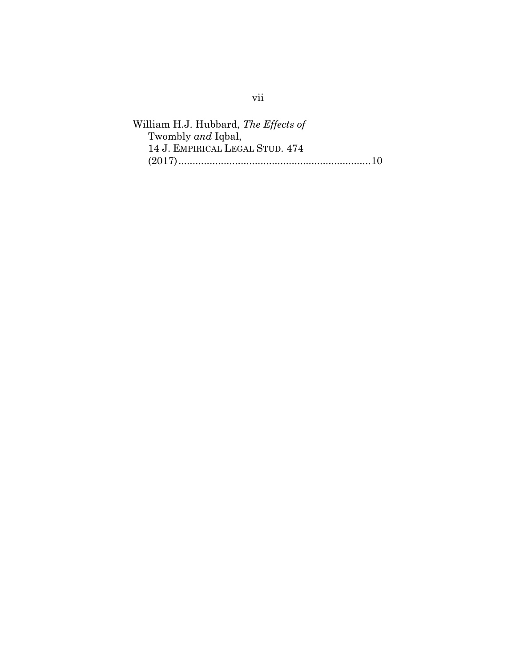William H.J. Hubbard, *The Effects of*  Twombly *and* Iqbal, 14 J. EMPIRICAL LEGAL STUD. 474 (2017)....................................................................10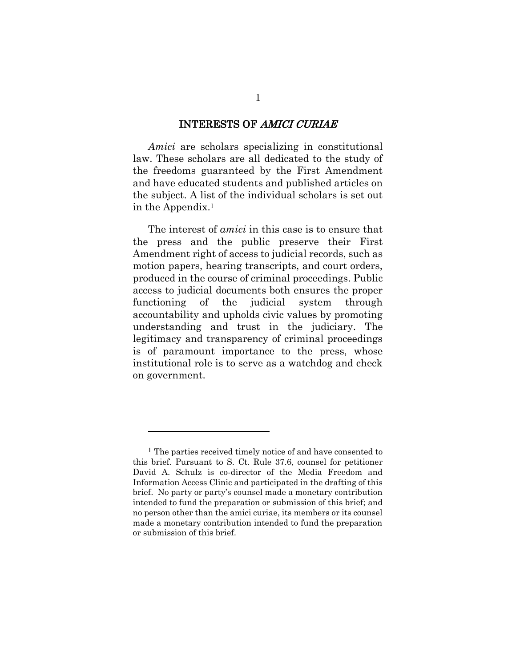#### INTERESTS OF AMICI CURIAE

<span id="page-8-0"></span>*Amici* are scholars specializing in constitutional law. These scholars are all dedicated to the study of the freedoms guaranteed by the First Amendment and have educated students and published articles on the subject. A list of the individual scholars is set out in the Appendix.<sup>1</sup>

The interest of *amici* in this case is to ensure that the press and the public preserve their First Amendment right of access to judicial records, such as motion papers, hearing transcripts, and court orders, produced in the course of criminal proceedings. Public access to judicial documents both ensures the proper functioning of the judicial system through accountability and upholds civic values by promoting understanding and trust in the judiciary. The legitimacy and transparency of criminal proceedings is of paramount importance to the press, whose institutional role is to serve as a watchdog and check on government.

<sup>&</sup>lt;sup>1</sup> The parties received timely notice of and have consented to this brief. Pursuant to S. Ct. Rule 37.6, counsel for petitioner David A. Schulz is co-director of the Media Freedom and Information Access Clinic and participated in the drafting of this brief. No party or party's counsel made a monetary contribution intended to fund the preparation or submission of this brief; and no person other than the amici curiae, its members or its counsel made a monetary contribution intended to fund the preparation or submission of this brief.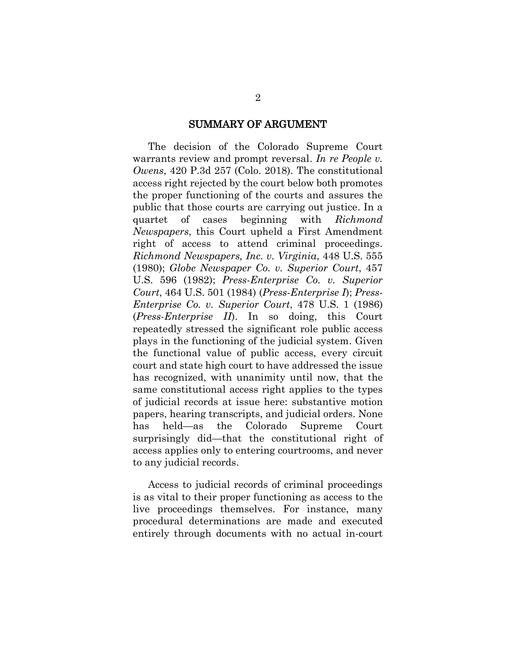#### SUMMARY OF ARGUMENT

<span id="page-9-0"></span>The decision of the Colorado Supreme Court warrants review and prompt reversal. *In re People v. Owens*, 420 P.3d 257 (Colo. 2018). The constitutional access right rejected by the court below both promotes the proper functioning of the courts and assures the public that those courts are carrying out justice. In a quartet of cases beginning with *Richmond Newspapers*, this Court upheld a First Amendment right of access to attend criminal proceedings. *Richmond Newspapers, Inc. v. Virginia*, 448 U.S. 555 (1980); *Globe Newspaper Co. v. Superior Court*, 457 U.S. 596 (1982); *Press-Enterprise Co. v. Superior Court*, 464 U.S. 501 (1984) (*Press-Enterprise I*); *Press-Enterprise Co. v. Superior Court*, 478 U.S. 1 (1986) (*Press-Enterprise II*). In so doing, this Court repeatedly stressed the significant role public access plays in the functioning of the judicial system. Given the functional value of public access, every circuit court and state high court to have addressed the issue has recognized, with unanimity until now, that the same constitutional access right applies to the types of judicial records at issue here: substantive motion papers, hearing transcripts, and judicial orders. None has held—as the Colorado Supreme Court surprisingly did—that the constitutional right of access applies only to entering courtrooms, and never to any judicial records.

Access to judicial records of criminal proceedings is as vital to their proper functioning as access to the live proceedings themselves. For instance, many procedural determinations are made and executed entirely through documents with no actual in-court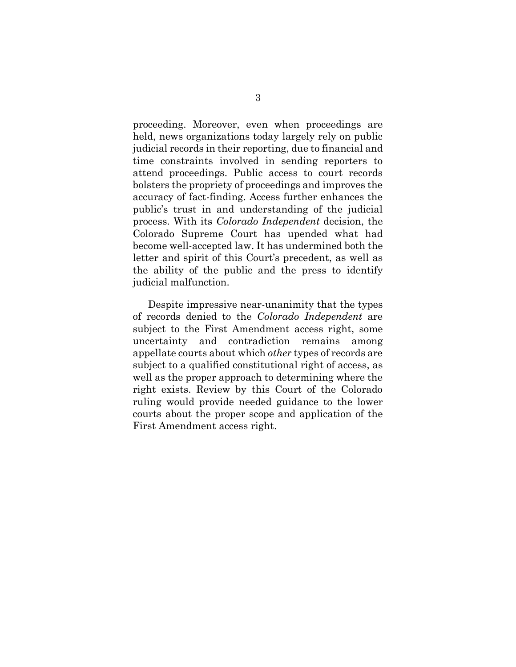proceeding. Moreover, even when proceedings are held, news organizations today largely rely on public judicial records in their reporting, due to financial and time constraints involved in sending reporters to attend proceedings. Public access to court records bolsters the propriety of proceedings and improves the accuracy of fact-finding. Access further enhances the public's trust in and understanding of the judicial process. With its *Colorado Independent* decision, the Colorado Supreme Court has upended what had become well-accepted law. It has undermined both the letter and spirit of this Court's precedent, as well as the ability of the public and the press to identify judicial malfunction.

<span id="page-10-0"></span>Despite impressive near-unanimity that the types of records denied to the *Colorado Independent* are subject to the First Amendment access right, some uncertainty and contradiction remains among appellate courts about which *other* types of records are subject to a qualified constitutional right of access, as well as the proper approach to determining where the right exists. Review by this Court of the Colorado ruling would provide needed guidance to the lower courts about the proper scope and application of the First Amendment access right.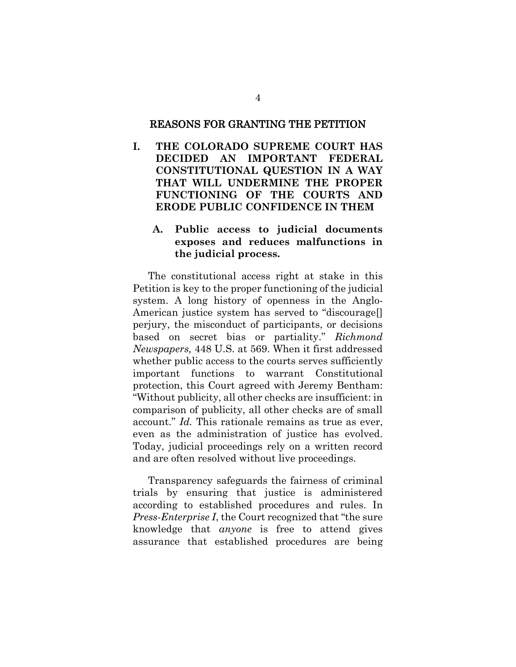#### REASONS FOR GRANTING THE PETITION

<span id="page-11-0"></span>**I. THE COLORADO SUPREME COURT HAS DECIDED AN IMPORTANT FEDERAL CONSTITUTIONAL QUESTION IN A WAY THAT WILL UNDERMINE THE PROPER FUNCTIONING OF THE COURTS AND ERODE PUBLIC CONFIDENCE IN THEM**

#### <span id="page-11-1"></span>**A. Public access to judicial documents exposes and reduces malfunctions in the judicial process.**

The constitutional access right at stake in this Petition is key to the proper functioning of the judicial system. A long history of openness in the Anglo-American justice system has served to "discourage[] perjury, the misconduct of participants, or decisions based on secret bias or partiality." *Richmond Newspapers,* 448 U.S. at 569. When it first addressed whether public access to the courts serves sufficiently important functions to warrant Constitutional protection, this Court agreed with Jeremy Bentham: "Without publicity, all other checks are insufficient: in comparison of publicity, all other checks are of small account." *Id.* This rationale remains as true as ever, even as the administration of justice has evolved. Today, judicial proceedings rely on a written record and are often resolved without live proceedings.

Transparency safeguards the fairness of criminal trials by ensuring that justice is administered according to established procedures and rules. In *Press-Enterprise I*, the Court recognized that "the sure knowledge that *anyone* is free to attend gives assurance that established procedures are being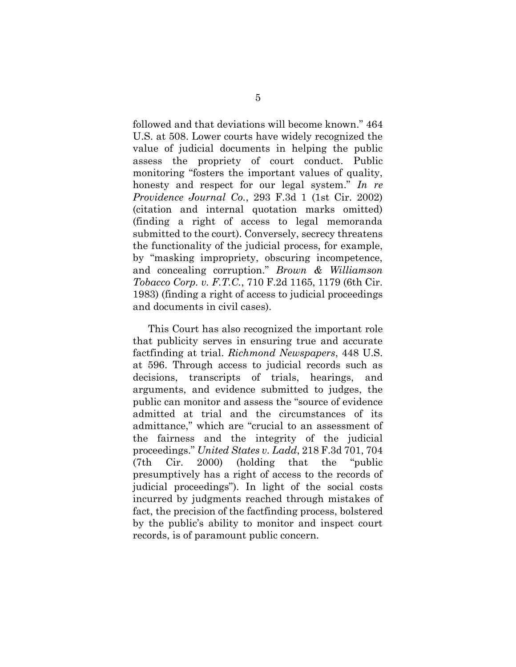followed and that deviations will become known." 464 U.S. at 508. Lower courts have widely recognized the value of judicial documents in helping the public assess the propriety of court conduct. Public monitoring "fosters the important values of quality, honesty and respect for our legal system." *In re Providence Journal Co.*, 293 F.3d 1 (1st Cir. 2002) (citation and internal quotation marks omitted) (finding a right of access to legal memoranda submitted to the court). Conversely, secrecy threatens the functionality of the judicial process, for example, by "masking impropriety, obscuring incompetence, and concealing corruption." *Brown & Williamson Tobacco Corp. v. F.T.C.*, 710 F.2d 1165, 1179 (6th Cir. 1983) (finding a right of access to judicial proceedings and documents in civil cases).

This Court has also recognized the important role that publicity serves in ensuring true and accurate factfinding at trial. *Richmond Newspapers*, 448 U.S. at 596. Through access to judicial records such as decisions, transcripts of trials, hearings, and arguments, and evidence submitted to judges, the public can monitor and assess the "source of evidence admitted at trial and the circumstances of its admittance," which are "crucial to an assessment of the fairness and the integrity of the judicial proceedings." *United States v. Ladd*, 218 F.3d 701, 704 (7th Cir. 2000) (holding that the "public presumptively has a right of access to the records of judicial proceedings"). In light of the social costs incurred by judgments reached through mistakes of fact, the precision of the factfinding process, bolstered by the public's ability to monitor and inspect court records, is of paramount public concern.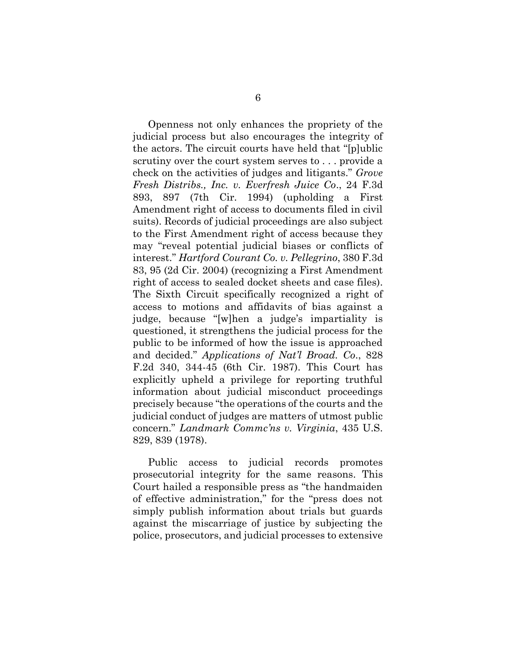Openness not only enhances the propriety of the judicial process but also encourages the integrity of the actors. The circuit courts have held that "[p]ublic scrutiny over the court system serves to . . . provide a check on the activities of judges and litigants." *Grove Fresh Distribs., Inc. v. Everfresh Juice Co*., 24 F.3d 893, 897 (7th Cir. 1994) (upholding a First Amendment right of access to documents filed in civil suits). Records of judicial proceedings are also subject to the First Amendment right of access because they may "reveal potential judicial biases or conflicts of interest." *Hartford Courant Co. v. Pellegrino*, 380 F.3d 83, 95 (2d Cir. 2004) (recognizing a First Amendment right of access to sealed docket sheets and case files). The Sixth Circuit specifically recognized a right of access to motions and affidavits of bias against a judge, because "[w]hen a judge's impartiality is questioned, it strengthens the judicial process for the public to be informed of how the issue is approached and decided." *Applications of Nat'l Broad. Co*., 828 F.2d 340, 344-45 (6th Cir. 1987). This Court has explicitly upheld a privilege for reporting truthful information about judicial misconduct proceedings precisely because "the operations of the courts and the judicial conduct of judges are matters of utmost public concern." *Landmark Commc'ns v. Virginia*, 435 U.S. 829, 839 (1978).

Public access to judicial records promotes prosecutorial integrity for the same reasons. This Court hailed a responsible press as "the handmaiden of effective administration," for the "press does not simply publish information about trials but guards against the miscarriage of justice by subjecting the police, prosecutors, and judicial processes to extensive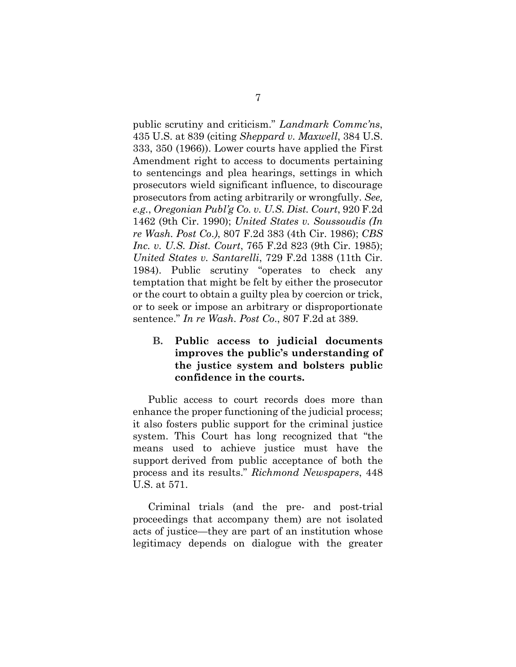public scrutiny and criticism." *Landmark Commc'ns*, 435 U.S. at 839 (citing *Sheppard v. Maxwell*, 384 U.S. 333, 350 (1966)). Lower courts have applied the First Amendment right to access to documents pertaining to sentencings and plea hearings, settings in which prosecutors wield significant influence, to discourage prosecutors from acting arbitrarily or wrongfully. *See, e.g.*, *Oregonian Publ'g Co. v. U.S. Dist. Court*, 920 F.2d 1462 (9th Cir. 1990); *United States v. Soussoudis (In re Wash. Post Co*.*)*, 807 F.2d 383 (4th Cir. 1986); *CBS Inc. v. U.S. Dist. Court*, 765 F.2d 823 (9th Cir. 1985); *United States v. Santarelli*, 729 F.2d 1388 (11th Cir. 1984). Public scrutiny "operates to check any temptation that might be felt by either the prosecutor or the court to obtain a guilty plea by coercion or trick, or to seek or impose an arbitrary or disproportionate sentence." *In re Wash. Post Co*., 807 F.2d at 389.

### <span id="page-14-0"></span>**B. Public access to judicial documents improves the public's understanding of the justice system and bolsters public confidence in the courts.**

Public access to court records does more than enhance the proper functioning of the judicial process; it also fosters public support for the criminal justice system. This Court has long recognized that "the means used to achieve justice must have the support derived from public acceptance of both the process and its results." *Richmond Newspapers*, 448 U.S. at 571.

Criminal trials (and the pre- and post-trial proceedings that accompany them) are not isolated acts of justice—they are part of an institution whose legitimacy depends on dialogue with the greater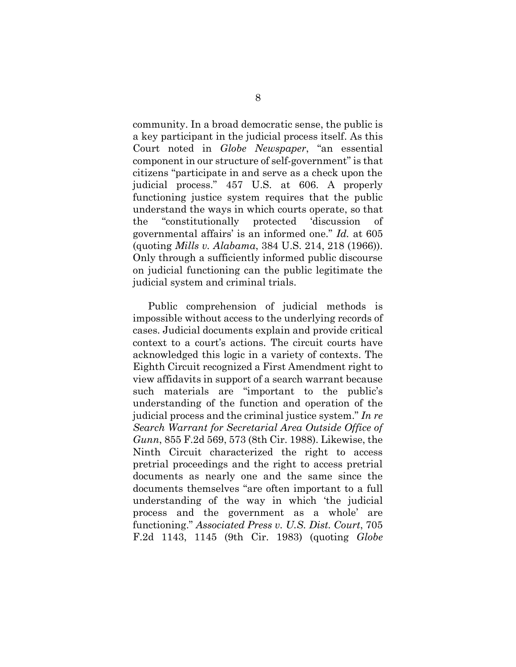community. In a broad democratic sense, the public is a key participant in the judicial process itself. As this Court noted in *Globe Newspaper*, "an essential component in our structure of self-government" is that citizens "participate in and serve as a check upon the judicial process." 457 U.S. at 606. A properly functioning justice system requires that the public understand the ways in which courts operate, so that the "constitutionally protected 'discussion of governmental affairs' is an informed one." *Id.* at 605 (quoting *Mills v. Alabama*, 384 U.S. 214, 218 (1966)). Only through a sufficiently informed public discourse on judicial functioning can the public legitimate the judicial system and criminal trials.

Public comprehension of judicial methods is impossible without access to the underlying records of cases. Judicial documents explain and provide critical context to a court's actions. The circuit courts have acknowledged this logic in a variety of contexts. The Eighth Circuit recognized a First Amendment right to view affidavits in support of a search warrant because such materials are "important to the public's understanding of the function and operation of the judicial process and the criminal justice system." *In re Search Warrant for Secretarial Area Outside Office of Gunn*, 855 F.2d 569, 573 (8th Cir. 1988). Likewise, the Ninth Circuit characterized the right to access pretrial proceedings and the right to access pretrial documents as nearly one and the same since the documents themselves "are often important to a full understanding of the way in which 'the judicial process and the government as a whole' are functioning." *Associated Press v. U.S. Dist. Court*, 705 F.2d 1143, 1145 (9th Cir. 1983) (quoting *Globe*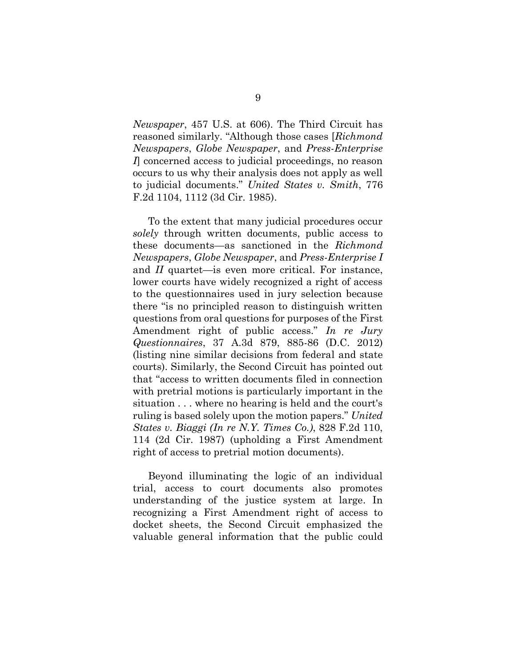*Newspaper*, 457 U.S. at 606). The Third Circuit has reasoned similarly. "Although those cases [*Richmond Newspapers*, *Globe Newspaper*, and *Press-Enterprise I*] concerned access to judicial proceedings, no reason occurs to us why their analysis does not apply as well to judicial documents." *United States v. Smith*, 776 F.2d 1104, 1112 (3d Cir. 1985).

To the extent that many judicial procedures occur *solely* through written documents, public access to these documents—as sanctioned in the *Richmond Newspapers*, *Globe Newspaper*, and *Press-Enterprise I* and *II* quartet—is even more critical. For instance, lower courts have widely recognized a right of access to the questionnaires used in jury selection because there "is no principled reason to distinguish written questions from oral questions for purposes of the First Amendment right of public access." *In re Jury Questionnaires*, 37 A.3d 879, 885-86 (D.C. 2012) (listing nine similar decisions from federal and state courts). Similarly, the Second Circuit has pointed out that "access to written documents filed in connection with pretrial motions is particularly important in the situation . . . where no hearing is held and the court's ruling is based solely upon the motion papers." *United States v. Biaggi (In re N.Y. Times Co.)*, 828 F.2d 110, 114 (2d Cir. 1987) (upholding a First Amendment right of access to pretrial motion documents).

Beyond illuminating the logic of an individual trial, access to court documents also promotes understanding of the justice system at large. In recognizing a First Amendment right of access to docket sheets, the Second Circuit emphasized the valuable general information that the public could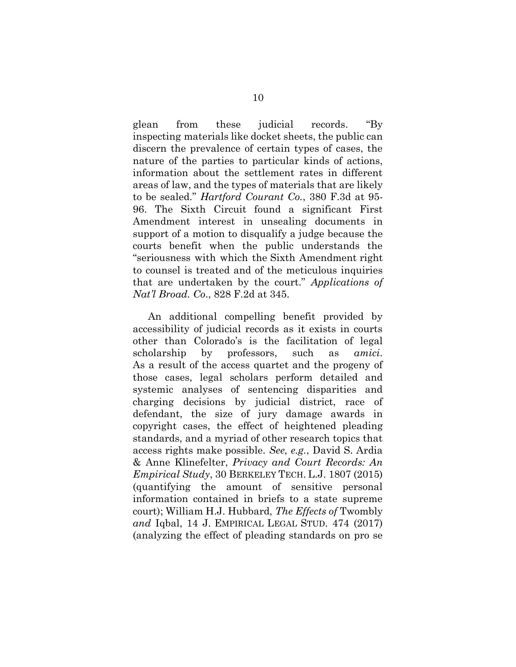glean from these judicial records. "By inspecting materials like docket sheets, the public can discern the prevalence of certain types of cases, the nature of the parties to particular kinds of actions, information about the settlement rates in different areas of law, and the types of materials that are likely to be sealed." *Hartford Courant Co.*, 380 F.3d at 95- 96. The Sixth Circuit found a significant First Amendment interest in unsealing documents in support of a motion to disqualify a judge because the courts benefit when the public understands the "seriousness with which the Sixth Amendment right to counsel is treated and of the meticulous inquiries that are undertaken by the court." *Applications of Nat'l Broad. Co*., 828 F.2d at 345.

An additional compelling benefit provided by accessibility of judicial records as it exists in courts other than Colorado's is the facilitation of legal scholarship by professors, such as *amici*. As a result of the access quartet and the progeny of those cases, legal scholars perform detailed and systemic analyses of sentencing disparities and charging decisions by judicial district, race of defendant, the size of jury damage awards in copyright cases, the effect of heightened pleading standards, and a myriad of other research topics that access rights make possible. *See, e.g.*, David S. Ardia & Anne Klinefelter, *Privacy and Court Records: An Empirical Study*, 30 BERKELEY TECH. L.J. 1807 (2015) (quantifying the amount of sensitive personal information contained in briefs to a state supreme court); William H.J. Hubbard, *The Effects of* Twombly *and* Iqbal, 14 J. EMPIRICAL LEGAL STUD. 474 (2017) (analyzing the effect of pleading standards on pro se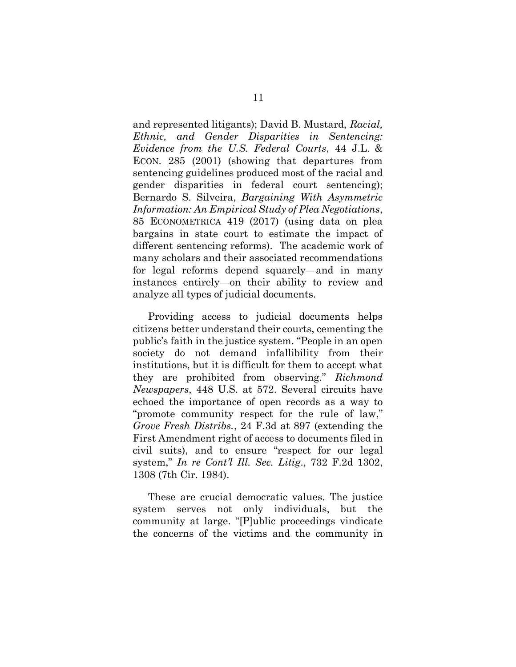and represented litigants); David B. Mustard, *Racial, Ethnic, and Gender Disparities in Sentencing: Evidence from the U.S. Federal Courts*, 44 J.L. & ECON. 285 (2001) (showing that departures from sentencing guidelines produced most of the racial and gender disparities in federal court sentencing); Bernardo S. Silveira, *Bargaining With Asymmetric Information: An Empirical Study of Plea Negotiations*, 85 ECONOMETRICA 419 (2017) (using data on plea bargains in state court to estimate the impact of different sentencing reforms). The academic work of many scholars and their associated recommendations for legal reforms depend squarely—and in many instances entirely—on their ability to review and analyze all types of judicial documents.

Providing access to judicial documents helps citizens better understand their courts, cementing the public's faith in the justice system. "People in an open society do not demand infallibility from their institutions, but it is difficult for them to accept what they are prohibited from observing." *Richmond Newspapers*, 448 U.S. at 572. Several circuits have echoed the importance of open records as a way to "promote community respect for the rule of law," *Grove Fresh Distribs.*, 24 F.3d at 897 (extending the First Amendment right of access to documents filed in civil suits), and to ensure "respect for our legal system," *In re Cont'l Ill. Sec. Litig*., 732 F.2d 1302, 1308 (7th Cir. 1984).

These are crucial democratic values. The justice system serves not only individuals, but the community at large. "[P]ublic proceedings vindicate the concerns of the victims and the community in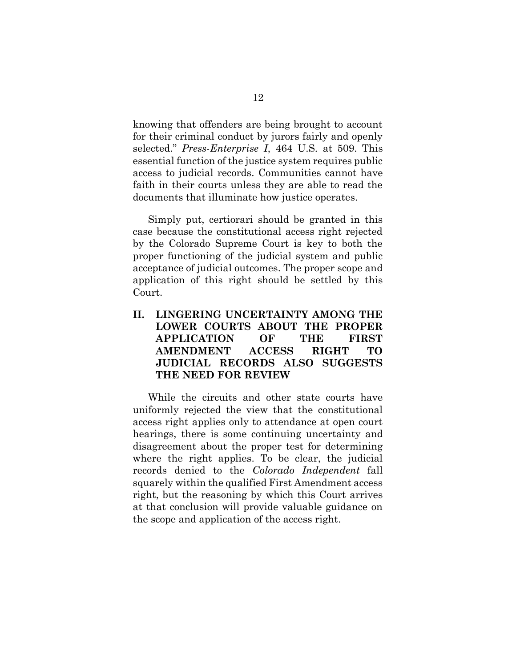knowing that offenders are being brought to account for their criminal conduct by jurors fairly and openly selected." *Press-Enterprise I*, 464 U.S. at 509. This essential function of the justice system requires public access to judicial records. Communities cannot have faith in their courts unless they are able to read the documents that illuminate how justice operates.

Simply put, certiorari should be granted in this case because the constitutional access right rejected by the Colorado Supreme Court is key to both the proper functioning of the judicial system and public acceptance of judicial outcomes. The proper scope and application of this right should be settled by this Court.

### <span id="page-19-0"></span>**II. LINGERING UNCERTAINTY AMONG THE LOWER COURTS ABOUT THE PROPER APPLICATION OF THE FIRST AMENDMENT ACCESS RIGHT TO JUDICIAL RECORDS ALSO SUGGESTS THE NEED FOR REVIEW**

While the circuits and other state courts have uniformly rejected the view that the constitutional access right applies only to attendance at open court hearings, there is some continuing uncertainty and disagreement about the proper test for determining where the right applies. To be clear, the judicial records denied to the *Colorado Independent* fall squarely within the qualified First Amendment access right, but the reasoning by which this Court arrives at that conclusion will provide valuable guidance on the scope and application of the access right.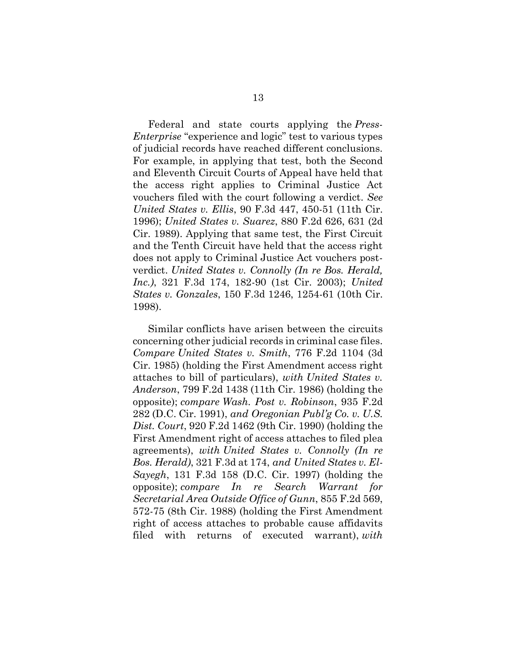Federal and state courts applying the *Press-Enterprise* "experience and logic" test to various types of judicial records have reached different conclusions. For example, in applying that test, both the Second and Eleventh Circuit Courts of Appeal have held that the access right applies to Criminal Justice Act vouchers filed with the court following a verdict. *See United States v. Ellis*, 90 F.3d 447, 450-51 (11th Cir. 1996); *United States v. Suarez*, 880 F.2d 626, 631 (2d Cir. 1989). Applying that same test, the First Circuit and the Tenth Circuit have held that the access right does not apply to Criminal Justice Act vouchers postverdict. *United States v. Connolly (In re Bos. Herald, Inc.)*, 321 F.3d 174, 182-90 (1st Cir. 2003); *United States v. Gonzales*, 150 F.3d 1246, 1254-61 (10th Cir. 1998).

Similar conflicts have arisen between the circuits concerning other judicial records in criminal case files. *Compare United States v. Smith*, 776 F.2d 1104 (3d Cir. 1985) (holding the First Amendment access right attaches to bill of particulars), *with United States v. Anderson*, 799 F.2d 1438 (11th Cir. 1986) (holding the opposite); *compare Wash. Post v. Robinson*, 935 F.2d 282 (D.C. Cir. 1991), *and Oregonian Publ'g Co. v. U.S. Dist. Court*, 920 F.2d 1462 (9th Cir. 1990) (holding the First Amendment right of access attaches to filed plea agreements), *with United States v. Connolly (In re Bos. Herald)*, 321 F.3d at 174, *and United States v. El-Sayegh*, 131 F.3d 158 (D.C. Cir. 1997) (holding the opposite); *compare In re Search Warrant for Secretarial Area Outside Office of Gunn*, 855 F.2d 569, 572-75 (8th Cir. 1988) (holding the First Amendment right of access attaches to probable cause affidavits filed with returns of executed warrant), *with*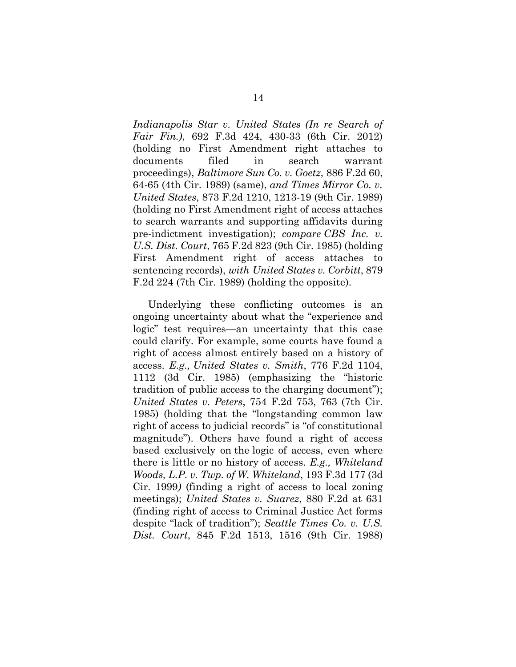*Indianapolis Star v. United States (In re Search of Fair Fin.)*, 692 F.3d 424, 430-33 (6th Cir. 2012) (holding no First Amendment right attaches to documents filed in search warrant proceedings), *Baltimore Sun Co. v. Goetz*, 886 F.2d 60, 64-65 (4th Cir. 1989) (same), *and Times Mirror Co. v. United States*, 873 F.2d 1210, 1213-19 (9th Cir. 1989) (holding no First Amendment right of access attaches to search warrants and supporting affidavits during pre-indictment investigation); *compare CBS Inc. v. U.S. Dist. Court*, 765 F.2d 823 (9th Cir. 1985) (holding First Amendment right of access attaches to sentencing records), *with United States v. Corbitt*, 879 F.2d 224 (7th Cir. 1989) (holding the opposite).

Underlying these conflicting outcomes is an ongoing uncertainty about what the "experience and logic" test requires—an uncertainty that this case could clarify. For example, some courts have found a right of access almost entirely based on a history of access. *E.g., United States v. Smith*, 776 F.2d 1104, 1112 (3d Cir. 1985) (emphasizing the "historic tradition of public access to the charging document"); *United States v. Peters*, 754 F.2d 753, 763 (7th Cir. 1985) (holding that the "longstanding common law right of access to judicial records" is "of constitutional magnitude"). Others have found a right of access based exclusively on the logic of access, even where there is little or no history of access. *E.g., Whiteland Woods, L.P. v. Twp. of W. Whiteland*, 193 F.3d 177 (3d Cir. 1999*)* (finding a right of access to local zoning meetings); *United States v. Suarez*, 880 F.2d at 631 (finding right of access to Criminal Justice Act forms despite "lack of tradition"); *Seattle Times Co. v. U.S. Dist. Court*, 845 F.2d 1513, 1516 (9th Cir. 1988)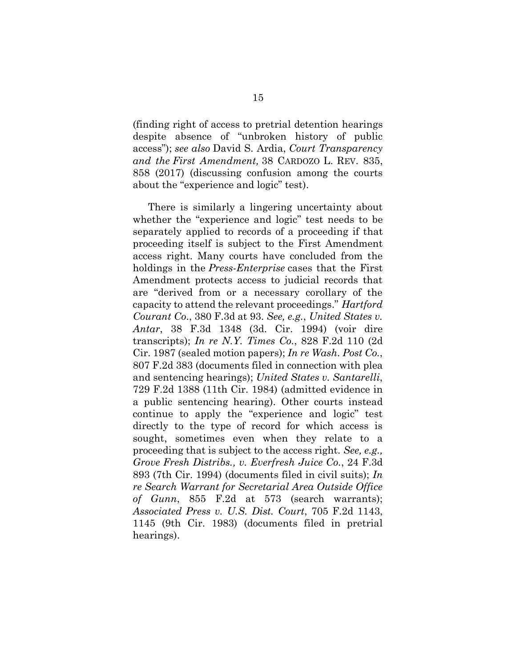(finding right of access to pretrial detention hearings despite absence of "unbroken history of public access"); *see also* David S. Ardia, *Court Transparency and the First Amendment,* 38 CARDOZO L. REV. 835, 858 (2017) (discussing confusion among the courts about the "experience and logic" test).

There is similarly a lingering uncertainty about whether the "experience and logic" test needs to be separately applied to records of a proceeding if that proceeding itself is subject to the First Amendment access right. Many courts have concluded from the holdings in the *Press-Enterprise* cases that the First Amendment protects access to judicial records that are "derived from or a necessary corollary of the capacity to attend the relevant proceedings." *Hartford Courant Co*., 380 F.3d at 93. *See, e.g.*, *United States v. Antar*, 38 F.3d 1348 (3d. Cir. 1994) (voir dire transcripts); *In re N.Y. Times Co.*, 828 F.2d 110 (2d Cir. 1987 (sealed motion papers); *In re Wash. Post Co.*, 807 F.2d 383 (documents filed in connection with plea and sentencing hearings); *United States v. Santarelli*, 729 F.2d 1388 (11th Cir. 1984) (admitted evidence in a public sentencing hearing). Other courts instead continue to apply the "experience and logic" test directly to the type of record for which access is sought, sometimes even when they relate to a proceeding that is subject to the access right. *See, e.g., Grove Fresh Distribs., v. Everfresh Juice Co.*, 24 F.3d 893 (7th Cir. 1994) (documents filed in civil suits); *In re Search Warrant for Secretarial Area Outside Office of Gunn*, 855 F.2d at 573 (search warrants); *Associated Press v. U.S. Dist. Court*, 705 F.2d 1143, 1145 (9th Cir. 1983) (documents filed in pretrial hearings).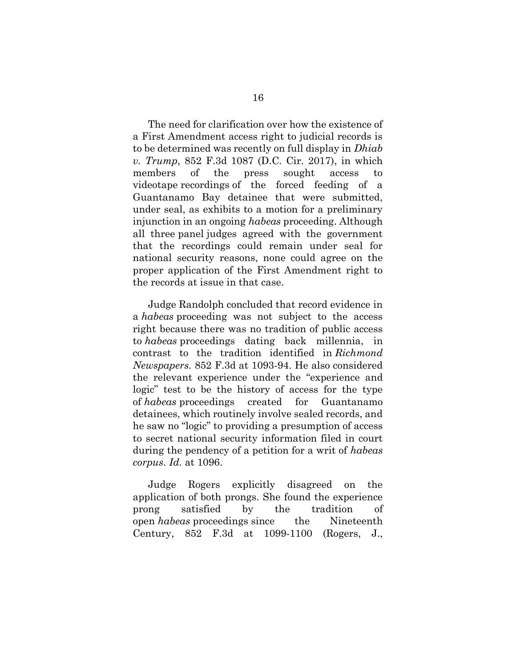The need for clarification over how the existence of a First Amendment access right to judicial records is to be determined was recently on full display in *Dhiab v. Trump*, 852 F.3d 1087 (D.C. Cir. 2017), in which members of the press sought access to videotape recordings of the forced feeding of a Guantanamo Bay detainee that were submitted, under seal, as exhibits to a motion for a preliminary injunction in an ongoing *habeas* proceeding. Although all three panel judges agreed with the government that the recordings could remain under seal for national security reasons, none could agree on the proper application of the First Amendment right to the records at issue in that case.

Judge Randolph concluded that record evidence in a *habeas* proceeding was not subject to the access right because there was no tradition of public access to *habeas* proceedings dating back millennia, in contrast to the tradition identified in *Richmond Newspapers.* 852 F.3d at 1093-94. He also considered the relevant experience under the "experience and logic" test to be the history of access for the type of *habeas* proceedings created for Guantanamo detainees, which routinely involve sealed records, and he saw no "logic" to providing a presumption of access to secret national security information filed in court during the pendency of a petition for a writ of *habeas corpus*. *Id.* at 1096.

Judge Rogers explicitly disagreed on the application of both prongs. She found the experience prong satisfied by the tradition of open *habeas* proceedings since the Nineteenth Century, 852 F.3d at 1099-1100 (Rogers, J.,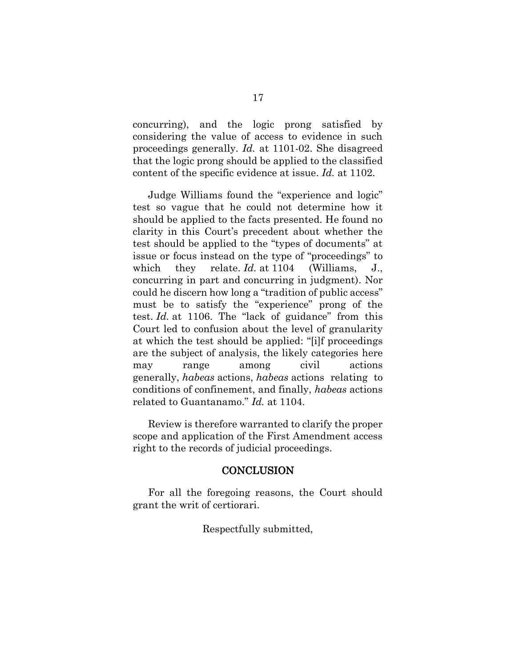concurring), and the logic prong satisfied by considering the value of access to evidence in such proceedings generally. *Id.* at 1101-02. She disagreed that the logic prong should be applied to the classified content of the specific evidence at issue. *Id.* at 1102.

Judge Williams found the "experience and logic" test so vague that he could not determine how it should be applied to the facts presented. He found no clarity in this Court's precedent about whether the test should be applied to the "types of documents" at issue or focus instead on the type of "proceedings" to which they relate. *Id.* at 1104 (Williams, J., concurring in part and concurring in judgment). Nor could he discern how long a "tradition of public access" must be to satisfy the "experience" prong of the test. *Id.* at 1106. The "lack of guidance" from this Court led to confusion about the level of granularity at which the test should be applied: "[i]f proceedings are the subject of analysis, the likely categories here may range among civil actions generally, *habeas* actions, *habeas* actions relating to conditions of confinement, and finally, *habeas* actions related to Guantanamo." *Id.* at 1104.

Review is therefore warranted to clarify the proper scope and application of the First Amendment access right to the records of judicial proceedings.

#### **CONCLUSION**

<span id="page-24-0"></span>For all the foregoing reasons, the Court should grant the writ of certiorari.

#### Respectfully submitted,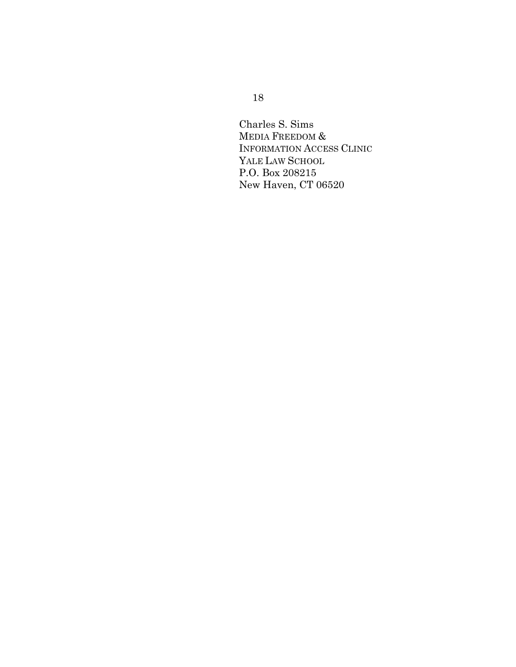Charles S. Sims MEDIA FREEDOM & INFORMATION ACCESS CLINIC YALE LAW SCHOOL P.O. Box 208215 New Haven, CT 06520

### 18